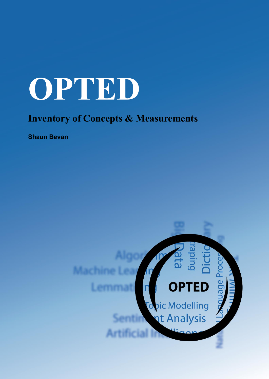# **OPTED**

# **Inventory of Concepts & Measurements**

**Shaun Bevan**

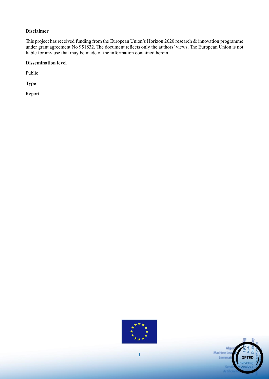#### **Disclaimer**

This project has received funding from the European Union's Horizon 2020 research & innovation programme under grant agreement No 951832. The document reflects only the authors' views. The European Union is not liable for any use that may be made of the information contained herein.

#### **Dissemination level**

Public

**Type**

Report



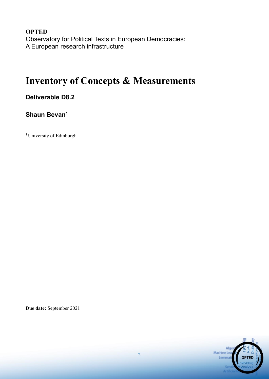**OPTED** Observatory for Political Texts in European Democracies: A European research infrastructure

# **Inventory of Concepts & Measurements**

## **Deliverable D8.2**

## **Shaun Bevan<sup>1</sup>**

<sup>1</sup> University of Edinburgh

**Due date:** September 2021

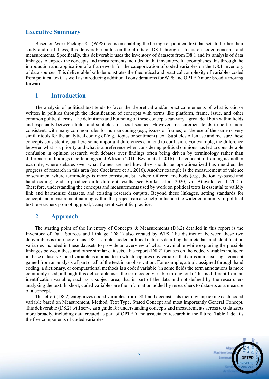#### **Executive Summary**

Based on Work Package 8's (WP8) focus on enabling the linkage of political text datasets to further their study and usefulness, this deliverable builds on the efforts of D8.1 through a focus on coded concepts and measurements. Specifically, this deliverable uses the inventory of datasets from D8.1 and its analysis of data linkages to unpack the concepts and measurements included in that inventory. It accomplishes this through the introduction and application of a framework for the categorization of coded variables on the D8.1 inventory of data sources. This deliverable both demonstrates the theoretical and practical complexity of variables coded from political text, as well as introducing additional considerations for WP8 and OPTED more broadly moving forward.

#### **1 Introduction**

The analysis of political text tends to favor the theoretical and/or practical elements of what is said or written in politics through the identification of concepts with terms like platform, frame, issue, and other common political terms. The definitions and bounding of these concepts can vary a great deal both within fields and especially between fields and subfields of social science. However, measurement tends to be far more consistent, with many common rules for human coding (e.g., issues or frames) or the use of the same or very similar tools for the analytical coding of (e.g., topics or sentiment) text. Subfields often use and measure these concepts consistently, but here some important differences can lead to confusion. For example, the difference between what is a priority and what is a preference when considering political opinions has led to considerable confusion in opinion research with debates over findings often being driven by terminology rather than differences in findings (see Jennings and Wlezien 2011; Bevan et al. 2016). The concept of framing is another example, where debates over what frames are and how they should be operationalized has muddled the progress of research in this area (see Cacciatore et al. 2016). Another example is the measurement of valence or sentiment where terminology is more consistent, but where different methods (e.g., dictionary-based and hand coding) tend to produce quite different results (see Boukes et al. 2020; van Atteveldt et al. 2021). Therefore, understanding the concepts and measurements used by work on political texts is essential to validly link and harmonize datasets, and existing research outputs. Beyond these linkages, setting standards for concept and measurement naming within the project can also help influence the wider community of political text researchers promoting good, transparent scientific practice.

#### **2 Approach**

The starting point of the Inventory of Concepts & Measurements (D8.2) detailed in this report is the Inventory of Data Sources and Linkage (D8.1) also created by WP8. The distinction between these two deliverables is their core focus. D8.1 samples coded political datasets detailing the metadata and identification variables included in these datasets to provide an overview of what is available while exploring the possible linkages between these and other similar datasets. This report (D8.2) focuses on the coded variables included in these datasets. Coded variable is a broad term which captures any variable that aims at measuring a concept gained from an analysis of part or all of the text in an observation. For example, a topic assigned through hand coding, a dictionary, or computational methods is a coded variable (in some fields the term annotations is more commonly used, although this deliverable uses the term coded variable throughout). This is different from an identification variable, such as a subject area, that is part of the data and not defined by the researchers analyzing the text. In short, coded variables are the information added by researchers to datasets as a measure of a concept.

This effort (D8.2) categorizes coded variables from D8.1 and deconstructs them by unpacking each coded variable based on Measurement, Method, Text Type, Stated Concept and most importantly General Concept. This deliverable (D8.2) will serve as a guide for understanding concepts and measurements across text datasets more broadly, including data created as part of OPTED and associated research in the future. Table 1 details the five components of coded variables.

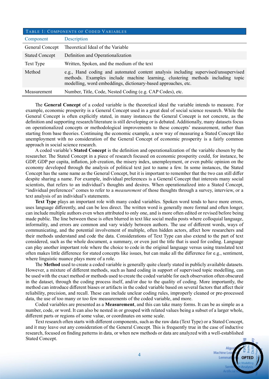| TABLE 1: COMPONENTS OF CODED VARIABLES |                                                                                                                                                                                                                                       |  |  |  |  |
|----------------------------------------|---------------------------------------------------------------------------------------------------------------------------------------------------------------------------------------------------------------------------------------|--|--|--|--|
| Component                              | Description                                                                                                                                                                                                                           |  |  |  |  |
| General Concept                        | Theoretical Ideal of the Variable                                                                                                                                                                                                     |  |  |  |  |
| <b>Stated Concept</b>                  | Definition and Operationalization                                                                                                                                                                                                     |  |  |  |  |
| Text Type                              | Written, Spoken, and the medium of the text                                                                                                                                                                                           |  |  |  |  |
| Method                                 | e.g., Hand coding and automated content analysis including supervised/unsupervised<br>methods. Examples include machine learning, clustering methods including topic<br>modelling, word embeddings, dictionary-based approaches, etc. |  |  |  |  |
| Measurement                            | Number, Title, Code, Nested Coding (e.g. CAP Codes), etc.                                                                                                                                                                             |  |  |  |  |

The **General Concept** of a coded variable is the theoretical ideal the variable intends to measure. For example, economic prosperity is a General Concept used in a great deal of social science research. While the General Concept is often explicitly stated, in many instances the General Concept is not concrete, as the definition and supporting research/literature is still developing or is debated. Additionally, many datasets focus on operationalized concepts or methodological improvements to these concepts' measurement, rather than starting from base theories. Continuing the economic example, a new way of measuring a Stated Concept like unemployment with no consideration of the General Concept of economic prosperity is a fairly common approach in social science research.

A coded variable's **Stated Concept** is the definition and operationalization of the variable chosen by the researcher. The Stated Concept in a piece of research focused on economic prosperity could, for instance, be GDP, GDP per capita, inflation, job creation, the misery index, unemployment, or even public opinion on the economy developed through the analysis of political text just to name a few. In some instances, the Stated Concept has the same name as the General Concept, but it is important to remember that the two can still differ despite sharing a name. For example, individual preferences is a General Concept that interests many social scientists, that refers to an individual's thoughts and desires. When operationalized into a Stated Concept, "individual preferences" comes to refer to a *measurement* of those thoughts through a survey, interview, or a text analysis of an individual's statements.

**Text Type** plays an important role with many coded variables. Spoken word tends to have more errors, uses language differently, and can be less direct. The written word is generally more formal and often longer, can include multiple authors even when attributed to only one, and is more often edited or revised before being made public. The line between these is often blurred in text like social media posts where colloquial language, informality, and errors are common and vary widely between authors. The use of different words, ways of communicating, and the potential involvement of multiple, often hidden actors, affect how researchers and their methods understand and code the data. Considerations of Text Type can also extend to the part of text considered, such as the whole document, a summary, or even just the title that is used for coding. Language can play another important role where the choice to code in the original language versus using translated text often makes little difference for stated concepts like issues, but can make all the difference for e.g., sentiment, where linguistic nuance plays more of a role.

The **Method** used to create a coded variable is generally quite clearly stated in publicly available datasets. However, a mixture of different methods, such as hand coding in support of supervised topic modelling, can be used with the exact method or methods used to create the coded variable for each observation often obscured in the dataset, through the coding process itself, and/or due to the quality of coding. More importantly, the method can introduce different biases or artifacts in the coded variable based on several factors that affect their reliability, precision, and recall. These can include unclear coding rules, improperly cleaned or pre-processed data, the use of too many or too few measurements of the coded variable, and more.

Coded variables are presented as a **Measurement**, and this can take many forms. It can be as simple as a number, code, or word. It can also be nested in or grouped with related values being a subset of a larger whole, different parts or regions of some value, or coordinates on some scale.

Text research often starts with different components, such as the raw data (Text Type) or a Stated Concept, and it may leave out any consideration of the General Concept. This is frequently true in the case of inductive research, focused on finding patterns in data, or when new methods or data are analyzed with a well-established Stated Concept.

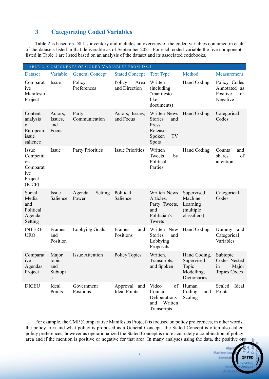### **3 Categorizing Coded Variables**

Table 2 is based on D8.1's inventory and includes an overview of the coded variables contained in each of the datasets listed in that deliverable as of September 2021. For each coded variable the five components listed in Table 1 are listed based on an analysis of the dataset and its associated codebooks.

| TABLE 2: COMPONENTS OF CODED VARIABLES FROM D8.1                 |                                                  |                            |                                     |                                                                                      |                                                                   |                                                                   |  |  |
|------------------------------------------------------------------|--------------------------------------------------|----------------------------|-------------------------------------|--------------------------------------------------------------------------------------|-------------------------------------------------------------------|-------------------------------------------------------------------|--|--|
| Dataset                                                          | Variable                                         | <b>General Concept</b>     | <b>Stated Concept</b>               | <b>Text Type</b>                                                                     | Method                                                            | Measurement                                                       |  |  |
| Comparat<br>ive<br>Manifesto<br>Project                          | Issue                                            | Policy<br>Preferences      | Policy<br>Area<br>and Direction     | Written<br>(including)<br>"manifesto<br>like"<br>documents)                          | Hand Coding                                                       | Policy Codes<br>Annotated as<br>Positive<br><b>or</b><br>Negative |  |  |
| Content<br>analysis<br>of<br>European<br>issue<br>salience       | Actors,<br>Issues,<br>and<br>Focus               | Party<br>Communication     | Actors, Issues,<br>and Focus        | Written News<br><b>Stories</b><br>and<br>Press<br>Releases,<br>Spoken<br>TV<br>Spots | Hand Coding                                                       | Categorical<br>Codes                                              |  |  |
| Issue<br>Competiti<br>on<br>Comparat<br>ive<br>Project<br>(ICCP) | Issue                                            | <b>Party Priorities</b>    | <b>Issue Priorities</b>             | Written<br>Tweets<br>by<br>Political<br>Parties                                      | Hand Coding                                                       | Counts<br>and<br>of<br>shares<br>attention                        |  |  |
| Social<br>Media<br>and<br>Political<br>Agenda<br>Setting         | Issue<br>Salience                                | Agenda<br>Setting<br>Power | Political<br>Salience               | Written News<br>Articles,<br>Party Tweets,<br>and<br>Politician's<br>Tweets          | Supervised<br>Machine<br>Learning<br>(multiple)<br>classifiers)   | Categorical<br>Codes                                              |  |  |
| <b>INTERE</b><br><b>URO</b>                                      | Frames<br>and<br>Position<br>S                   | Lobbying Goals             | Frames<br>and<br>Positions          | Written New<br><b>Stories</b><br>and<br>Lobbying<br>Proposals                        | Hand Coding                                                       | Dummy<br>and<br>Categorical<br>Variables                          |  |  |
| Comparat<br><i>ive</i><br>Agendas<br>Project                     | Major<br>topic<br>and<br>Subtopi<br>$\mathbf{C}$ | <b>Issue Attention</b>     | Policy Topics                       | Written,<br>Transcripts,<br>and Spoken                                               | Hand Coding,<br>Supervised<br>Topic<br>Modelling,<br>Dictionaries | Subtopic<br>Codes Nested<br>Major<br>1n<br><b>Topics Codes</b>    |  |  |
| <b>DICEU</b>                                                     | Ideal<br>Points                                  | Government<br>Positions    | Approval and<br><b>Ideal Points</b> | Video<br>of<br>Council<br>Deliberations<br>Written<br>and<br>Transcripts             | Human<br>Coding<br>and<br>Scaling                                 | Ideal<br>Scaled<br>Points                                         |  |  |

For example, the CMP (Comparative Manifestos Project) is focused on policy preferences, in other words, the policy area and what policy is proposed as a General Concept. The Stated Concept is often also called policy preferences, however as operationalized the Stated Concept is more accurately a combination of policy area and if the mention is positive or negative for that area. In many analyses using the data, the positive or

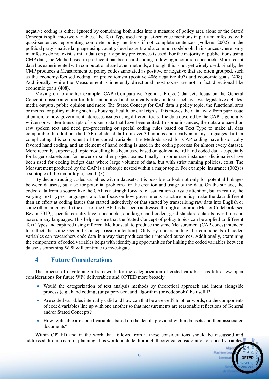negative coding is either ignored by combining both sides into a measure of policy area alone or the Stated Concept is split into two variables. The Text Type used are quasi-sentence mentions in party manifestos, with quasi-sentences representing complete policy mentions if not complete sentences (Volkens 2002) in the political party's native language using country-level experts and a common codebook. In instances where party manifestos do not exist, similar data on party policy preferences is used. For the majority of publications using CMP data, the Method used to produce it has been hand coding following a common codebook. More recent data has experimented with computational and other methods, although this is not yet widely used. Finally, the CMP produces a Measurement of policy codes annotated as positive or negative that are often grouped, such as the economy-focused coding for protectionism (positive 406; negative 407) and economic goals (408). Additionally, while the Measurement is inherently directional most codes are not in fact directional like economic goals (408).

Moving on to another example, CAP (Comparative Agendas Project) datasets focus on the General Concept of issue attention for different political and politically relevant texts such as laws, legislative debates, media outputs, public opinion and more. The Stated Concept for CAP data is policy topic, the functional area or means for policy making such as housing, health, or civil rights. This moves the data away from pure issue attention, to how government addresses issues using different tools. The data covered by the CAP is generally written or written transcripts of spoken data that have been edited. In some instances, the data are based on raw spoken text and need pre-processing or special coding rules based on Text Type to make all data comparable. In addition, the CAP includes data from over 30 nations and nearly as many languages, further complicating this component of the coded variable. The Methods used for CAP coding have historically favored hand coding, and an element of hand coding is used in the coding process for almost every dataset. More recently, supervised topic modelling has been used based on gold-standard hand coded data - especially for larger datasets and for newer or smaller project teams. Finally, in some rare instances, dictionaries have been used for coding budget data where large volumes of data, but with strict naming policies, exist. The Measurement produced by the CAP is a subtopic nested within a major topic. For example, insurance (302) is a subtopic of the major topic, health (3).

By deconstructing coded variables within datasets, it is possible to look not only for potential linkages between datasets, but also for potential problems for the creation and usage of the data. On the surface, the coded data from a source like the CAP is a straightforward classification of issue attention, but in reality, the varying Text Types, languages, and the focus on how governments structure policy make the data different than an effort at coding issues that started inductively or that started by transcribing raw data into English or some other language. In the case of the CAP this has been addressed through a common Master Codebook (see Bevan 2019), specific country-level codebooks, and large hand coded, gold-standard datasets over time and across many languages. This helps ensure that the Stated Concept of policy topics can be applied to different Text Types and captured using different Methods, all to produce the same Measurement (CAP codes) intended to reflect the same General Concept (issue attention). Only by understanding the components of coded variables can researchers code data in a way that produces their intended outcomes. Additionally, examining the components of coded variables helps with identifying opportunities for linking the coded variables between datasets something WP8 will continue to investigate.

#### **4 Future Considerations**

The process of developing a framework for the categorization of coded variables has left a few open considerations for future WP8 deliverables and OPTED more broadly.

- Would the categorization of text analysis methods by theoretical approach and intent alongside process (e.g., hand coding, (un)supervised, and algorithm (or codebook)) be useful?
- Are coded variables internally valid and how can that be assessed? In other words, do the components of coded variables line up with one another so that measurements are reasonable reflections of General and/or Stated Concepts?
- How replicable are coded variables based on the details provided within datasets and their associated documents?

Within OPTED and in the work that follows from it these considerations should be discussed and addressed through careful planning. This would include thorough theoretical consideration of coded variables,